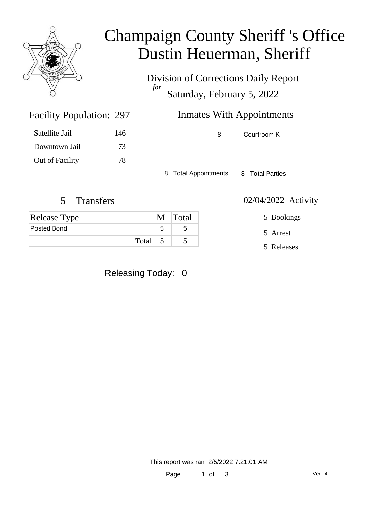

## Champaign County Sheriff 's Office Dustin Heuerman, Sheriff

Division of Corrections Daily Report *for* Saturday, February 5, 2022

| <b>Facility Population: 297</b> |     | <b>Inmates With Appointments</b> |
|---------------------------------|-----|----------------------------------|
| Satellite Jail                  | 146 | Courtroom K<br>8                 |
| Downtown Jail                   | 73  |                                  |

8 Total Appointments 8 Total Parties

5 Transfers 02/04/2022 Activity

Out of Facility 78

| Release Type | M Total |
|--------------|---------|
| Posted Bond  | 5.      |
| Total        |         |

Releasing Today: 0

5 Bookings

5 Arrest

5 Releases

This report was ran 2/5/2022 7:21:01 AM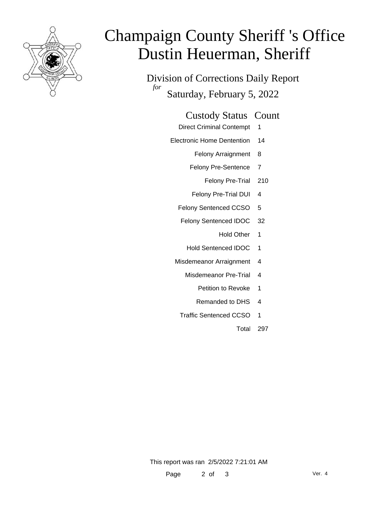

# Champaign County Sheriff 's Office Dustin Heuerman, Sheriff

Division of Corrections Daily Report *for* Saturday, February 5, 2022

### Custody Status Count

- Direct Criminal Contempt 1
- Electronic Home Dentention 14
	- Felony Arraignment 8
	- Felony Pre-Sentence 7
		- Felony Pre-Trial 210
	- Felony Pre-Trial DUI 4
	- Felony Sentenced CCSO 5
	- Felony Sentenced IDOC 32
		- Hold Other 1
		- Hold Sentenced IDOC 1
	- Misdemeanor Arraignment 4
		- Misdemeanor Pre-Trial 4
			- Petition to Revoke 1
			- Remanded to DHS 4
		- Traffic Sentenced CCSO 1
			- Total 297

This report was ran 2/5/2022 7:21:01 AM